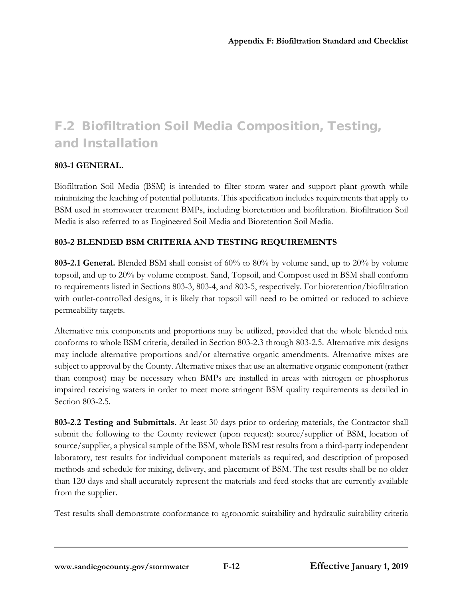# F.2 Biofiltration Soil Media Composition, Testing, and Installation

## **803-1 GENERAL.**

Biofiltration Soil Media (BSM) is intended to filter storm water and support plant growth while minimizing the leaching of potential pollutants. This specification includes requirements that apply to BSM used in stormwater treatment BMPs, including bioretention and biofiltration. Biofiltration Soil Media is also referred to as Engineered Soil Media and Bioretention Soil Media.

## **803-2 BLENDED BSM CRITERIA AND TESTING REQUIREMENTS**

**803-2.1 General.** Blended BSM shall consist of 60% to 80% by volume sand, up to 20% by volume topsoil, and up to 20% by volume compost. Sand, Topsoil, and Compost used in BSM shall conform to requirements listed in Sections 803-3, 803-4, and 803-5, respectively. For bioretention/biofiltration with outlet-controlled designs, it is likely that topsoil will need to be omitted or reduced to achieve permeability targets.

Alternative mix components and proportions may be utilized, provided that the whole blended mix conforms to whole BSM criteria, detailed in Section 803-2.3 through 803-2.5. Alternative mix designs may include alternative proportions and/or alternative organic amendments. Alternative mixes are subject to approval by the County. Alternative mixes that use an alternative organic component (rather than compost) may be necessary when BMPs are installed in areas with nitrogen or phosphorus impaired receiving waters in order to meet more stringent BSM quality requirements as detailed in Section 803-2.5.

**803-2.2 Testing and Submittals.** At least 30 days prior to ordering materials, the Contractor shall submit the following to the County reviewer (upon request): source/supplier of BSM, location of source/supplier, a physical sample of the BSM, whole BSM test results from a third-party independent laboratory, test results for individual component materials as required, and description of proposed methods and schedule for mixing, delivery, and placement of BSM. The test results shall be no older than 120 days and shall accurately represent the materials and feed stocks that are currently available from the supplier.

Test results shall demonstrate conformance to agronomic suitability and hydraulic suitability criteria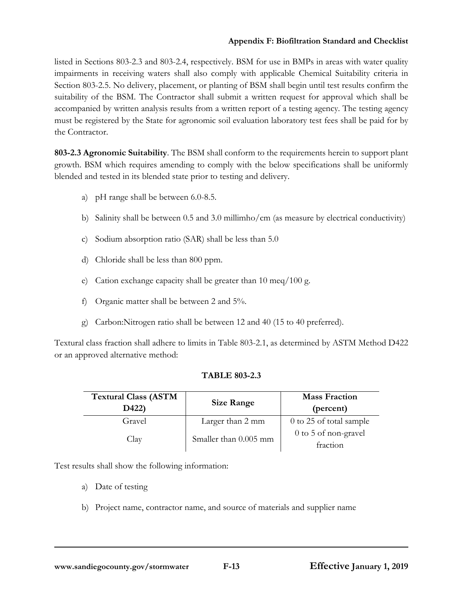listed in Sections 803-2.3 and 803-2.4, respectively. BSM for use in BMPs in areas with water quality impairments in receiving waters shall also comply with applicable Chemical Suitability criteria in Section 803-2.5. No delivery, placement, or planting of BSM shall begin until test results confirm the suitability of the BSM. The Contractor shall submit a written request for approval which shall be accompanied by written analysis results from a written report of a testing agency. The testing agency must be registered by the State for agronomic soil evaluation laboratory test fees shall be paid for by the Contractor.

**803-2.3 Agronomic Suitability**. The BSM shall conform to the requirements herein to support plant growth. BSM which requires amending to comply with the below specifications shall be uniformly blended and tested in its blended state prior to testing and delivery.

- a) pH range shall be between 6.0-8.5.
- b) Salinity shall be between 0.5 and 3.0 millimho/cm (as measure by electrical conductivity)
- c) Sodium absorption ratio (SAR) shall be less than 5.0
- d) Chloride shall be less than 800 ppm.
- e) Cation exchange capacity shall be greater than 10 meq/100 g.
- f) Organic matter shall be between 2 and 5%.
- g) Carbon:Nitrogen ratio shall be between 12 and 40 (15 to 40 preferred).

Textural class fraction shall adhere to limits in Table 803-2.1, as determined by ASTM Method D422 or an approved alternative method:

## **TABLE 803-2.3**

| <b>Textural Class (ASTM</b><br>D422) | Size Range            | <b>Mass Fraction</b><br>(percent) |
|--------------------------------------|-----------------------|-----------------------------------|
| Gravel                               | Larger than 2 mm      | 0 to 25 of total sample           |
| Clav                                 | Smaller than 0.005 mm | 0 to 5 of non-gravel<br>fraction  |

Test results shall show the following information:

- a) Date of testing
- b) Project name, contractor name, and source of materials and supplier name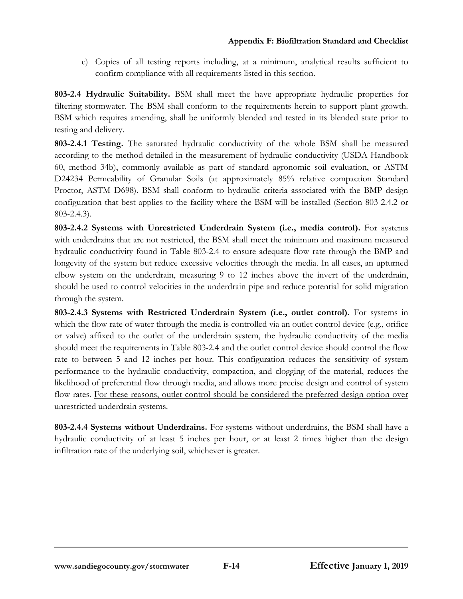c) Copies of all testing reports including, at a minimum, analytical results sufficient to confirm compliance with all requirements listed in this section.

**803-2.4 Hydraulic Suitability.** BSM shall meet the have appropriate hydraulic properties for filtering stormwater. The BSM shall conform to the requirements herein to support plant growth. BSM which requires amending, shall be uniformly blended and tested in its blended state prior to testing and delivery.

**803-2.4.1 Testing.** The saturated hydraulic conductivity of the whole BSM shall be measured according to the method detailed in the measurement of hydraulic conductivity (USDA Handbook 60, method 34b), commonly available as part of standard agronomic soil evaluation, or ASTM D24234 Permeability of Granular Soils (at approximately 85% relative compaction Standard Proctor, ASTM D698). BSM shall conform to hydraulic criteria associated with the BMP design configuration that best applies to the facility where the BSM will be installed (Section 803-2.4.2 or 803-2.4.3).

**803-2.4.2 Systems with Unrestricted Underdrain System (i.e., media control).** For systems with underdrains that are not restricted, the BSM shall meet the minimum and maximum measured hydraulic conductivity found in Table 803-2.4 to ensure adequate flow rate through the BMP and longevity of the system but reduce excessive velocities through the media. In all cases, an upturned elbow system on the underdrain, measuring 9 to 12 inches above the invert of the underdrain, should be used to control velocities in the underdrain pipe and reduce potential for solid migration through the system.

**803-2.4.3 Systems with Restricted Underdrain System (i.e., outlet control).** For systems in which the flow rate of water through the media is controlled via an outlet control device (e.g., orifice or valve) affixed to the outlet of the underdrain system, the hydraulic conductivity of the media should meet the requirements in Table 803-2.4 and the outlet control device should control the flow rate to between 5 and 12 inches per hour. This configuration reduces the sensitivity of system performance to the hydraulic conductivity, compaction, and clogging of the material, reduces the likelihood of preferential flow through media, and allows more precise design and control of system flow rates. For these reasons, outlet control should be considered the preferred design option over unrestricted underdrain systems.

**803-2.4.4 Systems without Underdrains.** For systems without underdrains, the BSM shall have a hydraulic conductivity of at least 5 inches per hour, or at least 2 times higher than the design infiltration rate of the underlying soil, whichever is greater.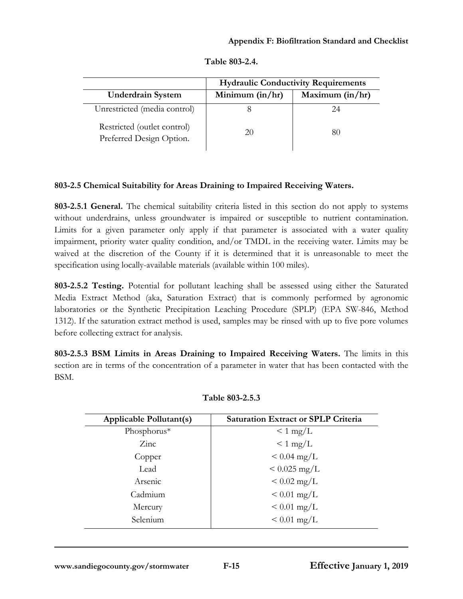|                                                         |                   | <b>Hydraulic Conductivity Requirements</b> |
|---------------------------------------------------------|-------------------|--------------------------------------------|
| <b>Underdrain System</b>                                | Minimum $(in/hr)$ | Maximum $(in/hr)$                          |
| Unrestricted (media control)                            |                   | 24                                         |
| Restricted (outlet control)<br>Preferred Design Option. | 20                | 80                                         |

# **803-2.5 Chemical Suitability for Areas Draining to Impaired Receiving Waters.**

**803-2.5.1 General.** The chemical suitability criteria listed in this section do not apply to systems without underdrains, unless groundwater is impaired or susceptible to nutrient contamination. Limits for a given parameter only apply if that parameter is associated with a water quality impairment, priority water quality condition, and/or TMDL in the receiving water. Limits may be waived at the discretion of the County if it is determined that it is unreasonable to meet the specification using locally-available materials (available within 100 miles).

**803-2.5.2 Testing.** Potential for pollutant leaching shall be assessed using either the Saturated Media Extract Method (aka, Saturation Extract) that is commonly performed by agronomic laboratories or the Synthetic Precipitation Leaching Procedure (SPLP) (EPA SW-846, Method 1312). If the saturation extract method is used, samples may be rinsed with up to five pore volumes before collecting extract for analysis.

**803-2.5.3 BSM Limits in Areas Draining to Impaired Receiving Waters.** The limits in this section are in terms of the concentration of a parameter in water that has been contacted with the BSM.

| <b>Applicable Pollutant(s)</b> | <b>Saturation Extract or SPLP Criteria</b> |
|--------------------------------|--------------------------------------------|
| Phosphorus*                    | $\leq 1 \text{ mg/L}$                      |
| $\rm Zinc$                     | $\leq 1$ mg/L                              |
| Copper                         | $< 0.04$ mg/L                              |
| Lead                           | $< 0.025$ mg/L                             |
| Arsenic                        | $< 0.02$ mg/L                              |
| Cadmium                        | $< 0.01$ mg/L                              |
| Mercury                        | $< 0.01$ mg/L                              |
| Selenium                       | $< 0.01$ mg/L                              |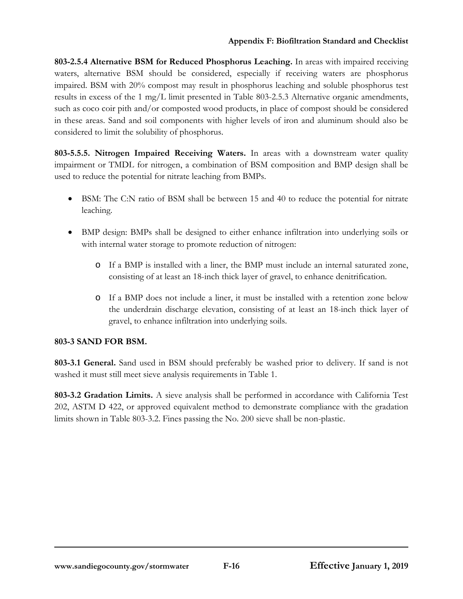**803-2.5.4 Alternative BSM for Reduced Phosphorus Leaching.** In areas with impaired receiving waters, alternative BSM should be considered, especially if receiving waters are phosphorus impaired. BSM with 20% compost may result in phosphorus leaching and soluble phosphorus test results in excess of the 1 mg/L limit presented in Table 803-2.5.3 Alternative organic amendments, such as coco coir pith and/or composted wood products, in place of compost should be considered in these areas. Sand and soil components with higher levels of iron and aluminum should also be considered to limit the solubility of phosphorus.

**803-5.5.5. Nitrogen Impaired Receiving Waters.** In areas with a downstream water quality impairment or TMDL for nitrogen, a combination of BSM composition and BMP design shall be used to reduce the potential for nitrate leaching from BMPs.

- BSM: The C:N ratio of BSM shall be between 15 and 40 to reduce the potential for nitrate leaching.
- BMP design: BMPs shall be designed to either enhance infiltration into underlying soils or with internal water storage to promote reduction of nitrogen:
	- o If a BMP is installed with a liner, the BMP must include an internal saturated zone, consisting of at least an 18-inch thick layer of gravel, to enhance denitrification.
	- o If a BMP does not include a liner, it must be installed with a retention zone below the underdrain discharge elevation, consisting of at least an 18-inch thick layer of gravel, to enhance infiltration into underlying soils.

## **803-3 SAND FOR BSM.**

**803-3.1 General.** Sand used in BSM should preferably be washed prior to delivery. If sand is not washed it must still meet sieve analysis requirements in Table 1.

**803-3.2 Gradation Limits.** A sieve analysis shall be performed in accordance with California Test 202, ASTM D 422, or approved equivalent method to demonstrate compliance with the gradation limits shown in Table 803-3.2. Fines passing the No. 200 sieve shall be non-plastic.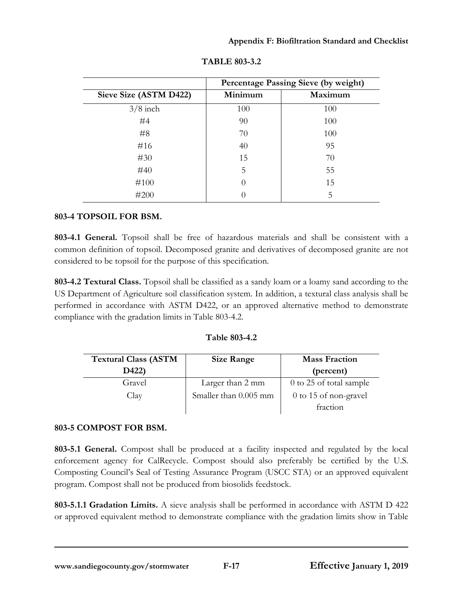|                        |                  | Percentage Passing Sieve (by weight) |
|------------------------|------------------|--------------------------------------|
| Sieve Size (ASTM D422) | Minimum          | Maximum                              |
| $3/8$ inch             | 100              | 100                                  |
| #4                     | 90               | 100                                  |
| #8                     | 70               | 100                                  |
| #16                    | 40               | 95                                   |
| #30                    | 15               | 70                                   |
| #40                    | 5                | 55                                   |
| #100                   | $\left( \right)$ | 15                                   |
| #200                   |                  | 5                                    |

**TABLE 803-3.2**

# **803-4 TOPSOIL FOR BSM.**

**803-4.1 General.** Topsoil shall be free of hazardous materials and shall be consistent with a common definition of topsoil. Decomposed granite and derivatives of decomposed granite are not considered to be topsoil for the purpose of this specification.

**803-4.2 Textural Class.** Topsoil shall be classified as a sandy loam or a loamy sand according to the US Department of Agriculture soil classification system. In addition, a textural class analysis shall be performed in accordance with ASTM D422, or an approved alternative method to demonstrate compliance with the gradation limits in Table 803-4.2.

| Table 803-4.2 |
|---------------|
|               |

| <b>Textural Class (ASTM</b> | <b>Size Range</b>     | <b>Mass Fraction</b>    |
|-----------------------------|-----------------------|-------------------------|
| D422)                       |                       | (percent)               |
| Gravel                      | Larger than 2 mm      | 0 to 25 of total sample |
| Clav                        | Smaller than 0.005 mm | 0 to 15 of non-gravel   |
|                             |                       | fraction                |

# **803-5 COMPOST FOR BSM.**

**803-5.1 General.** Compost shall be produced at a facility inspected and regulated by the local enforcement agency for CalRecycle. Compost should also preferably be certified by the U.S. Composting Council's Seal of Testing Assurance Program (USCC STA) or an approved equivalent program. Compost shall not be produced from biosolids feedstock.

**803-5.1.1 Gradation Limits.** A sieve analysis shall be performed in accordance with ASTM D 422 or approved equivalent method to demonstrate compliance with the gradation limits show in Table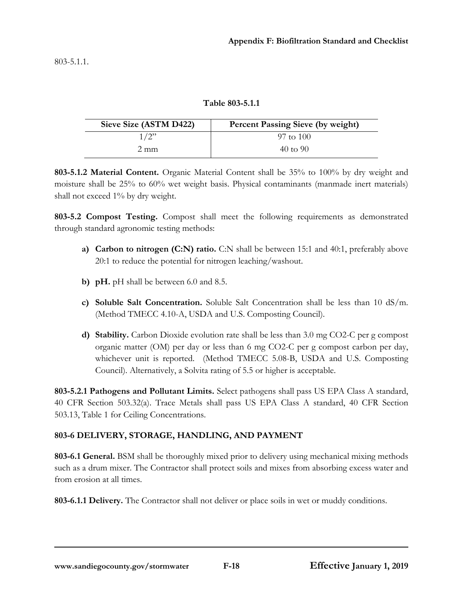**Table 803-5.1.1**

| Sieve Size (ASTM D422) | <b>Percent Passing Sieve (by weight)</b> |
|------------------------|------------------------------------------|
| 1/2"                   | $97 \text{ to } 100$                     |
| $2 \text{ mm}$         | $40 \text{ to } 90$                      |

**803-5.1.2 Material Content.** Organic Material Content shall be 35% to 100% by dry weight and moisture shall be 25% to 60% wet weight basis. Physical contaminants (manmade inert materials) shall not exceed 1% by dry weight.

**803-5.2 Compost Testing.** Compost shall meet the following requirements as demonstrated through standard agronomic testing methods:

- **a) Carbon to nitrogen (C:N) ratio.** C:N shall be between 15:1 and 40:1, preferably above 20:1 to reduce the potential for nitrogen leaching/washout.
- **b) pH.** pH shall be between 6.0 and 8.5.
- **c) Soluble Salt Concentration.** Soluble Salt Concentration shall be less than 10 dS/m. (Method TMECC 4.10-A, USDA and U.S. Composting Council).
- **d) Stability.** Carbon Dioxide evolution rate shall be less than 3.0 mg CO2-C per g compost organic matter (OM) per day or less than 6 mg CO2-C per g compost carbon per day, whichever unit is reported. (Method TMECC 5.08-B, USDA and U.S. Composting Council). Alternatively, a Solvita rating of 5.5 or higher is acceptable.

**803-5.2.1 Pathogens and Pollutant Limits.** Select pathogens shall pass US EPA Class A standard, 40 CFR Section 503.32(a). Trace Metals shall pass US EPA Class A standard, 40 CFR Section 503.13, Table 1 for Ceiling Concentrations.

## **803-6 DELIVERY, STORAGE, HANDLING, AND PAYMENT**

**803-6.1 General.** BSM shall be thoroughly mixed prior to delivery using mechanical mixing methods such as a drum mixer. The Contractor shall protect soils and mixes from absorbing excess water and from erosion at all times.

**803-6.1.1 Delivery.** The Contractor shall not deliver or place soils in wet or muddy conditions.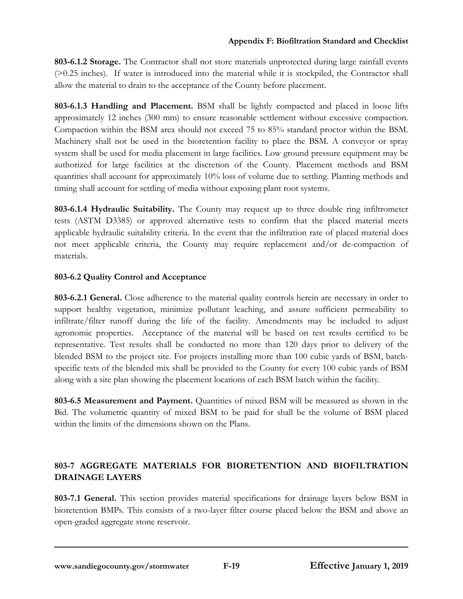**803-6.1.2 Storage.** The Contractor shall not store materials unprotected during large rainfall events (>0.25 inches). If water is introduced into the material while it is stockpiled, the Contractor shall allow the material to drain to the acceptance of the County before placement.

**803-6.1.3 Handling and Placement.** BSM shall be lightly compacted and placed in loose lifts approximately 12 inches (300 mm) to ensure reasonable settlement without excessive compaction. Compaction within the BSM area should not exceed 75 to 85% standard proctor within the BSM. Machinery shall not be used in the bioretention facility to place the BSM. A conveyor or spray system shall be used for media placement in large facilities. Low ground pressure equipment may be authorized for large facilities at the discretion of the County. Placement methods and BSM quantities shall account for approximately 10% loss of volume due to settling. Planting methods and timing shall account for settling of media without exposing plant root systems.

**803-6.1.4 Hydraulic Suitability.** The County may request up to three double ring infiltrometer tests (ASTM D3385) or approved alternative tests to confirm that the placed material meets applicable hydraulic suitability criteria. In the event that the infiltration rate of placed material does not meet applicable criteria, the County may require replacement and/or de-compaction of materials.

## **803-6.2 Quality Control and Acceptance**

**803-6.2.1 General.** Close adherence to the material quality controls herein are necessary in order to support healthy vegetation, minimize pollutant leaching, and assure sufficient permeability to infiltrate/filter runoff during the life of the facility. Amendments may be included to adjust agronomic properties. Acceptance of the material will be based on test results certified to be representative. Test results shall be conducted no more than 120 days prior to delivery of the blended BSM to the project site. For projects installing more than 100 cubic yards of BSM, batchspecific tests of the blended mix shall be provided to the County for every 100 cubic yards of BSM along with a site plan showing the placement locations of each BSM batch within the facility.

**803-6.5 Measurement and Payment.** Quantities of mixed BSM will be measured as shown in the Bid. The volumetric quantity of mixed BSM to be paid for shall be the volume of BSM placed within the limits of the dimensions shown on the Plans.

# **803-7 AGGREGATE MATERIALS FOR BIORETENTION AND BIOFILTRATION DRAINAGE LAYERS**

**803-7.1 General.** This section provides material specifications for drainage layers below BSM in bioretention BMPs. This consists of a two-layer filter course placed below the BSM and above an open-graded aggregate stone reservoir.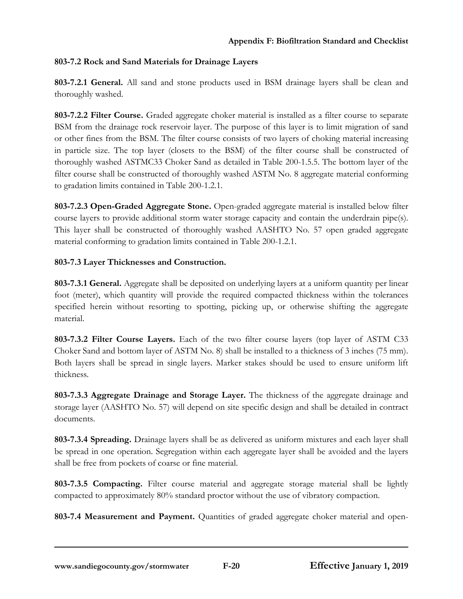# **803-7.2 Rock and Sand Materials for Drainage Layers**

**803-7.2.1 General.** All sand and stone products used in BSM drainage layers shall be clean and thoroughly washed.

**803-7.2.2 Filter Course.** Graded aggregate choker material is installed as a filter course to separate BSM from the drainage rock reservoir layer. The purpose of this layer is to limit migration of sand or other fines from the BSM. The filter course consists of two layers of choking material increasing in particle size. The top layer (closets to the BSM) of the filter course shall be constructed of thoroughly washed ASTMC33 Choker Sand as detailed in Table 200-1.5.5. The bottom layer of the filter course shall be constructed of thoroughly washed ASTM No. 8 aggregate material conforming to gradation limits contained in Table 200-1.2.1.

**803-7.2.3 Open-Graded Aggregate Stone.** Open-graded aggregate material is installed below filter course layers to provide additional storm water storage capacity and contain the underdrain pipe(s). This layer shall be constructed of thoroughly washed AASHTO No. 57 open graded aggregate material conforming to gradation limits contained in Table 200-1.2.1.

## **803-7.3 Layer Thicknesses and Construction.**

**803-7.3.1 General.** Aggregate shall be deposited on underlying layers at a uniform quantity per linear foot (meter), which quantity will provide the required compacted thickness within the tolerances specified herein without resorting to spotting, picking up, or otherwise shifting the aggregate material.

**803-7.3.2 Filter Course Layers.** Each of the two filter course layers (top layer of ASTM C33 Choker Sand and bottom layer of ASTM No. 8) shall be installed to a thickness of 3 inches (75 mm). Both layers shall be spread in single layers. Marker stakes should be used to ensure uniform lift thickness.

**803-7.3.3 Aggregate Drainage and Storage Layer.** The thickness of the aggregate drainage and storage layer (AASHTO No. 57) will depend on site specific design and shall be detailed in contract documents.

**803-7.3.4 Spreading.** Drainage layers shall be as delivered as uniform mixtures and each layer shall be spread in one operation. Segregation within each aggregate layer shall be avoided and the layers shall be free from pockets of coarse or fine material.

**803-7.3.5 Compacting.** Filter course material and aggregate storage material shall be lightly compacted to approximately 80% standard proctor without the use of vibratory compaction.

803-7.4 Measurement and Payment. Quantities of graded aggregate choker material and open-